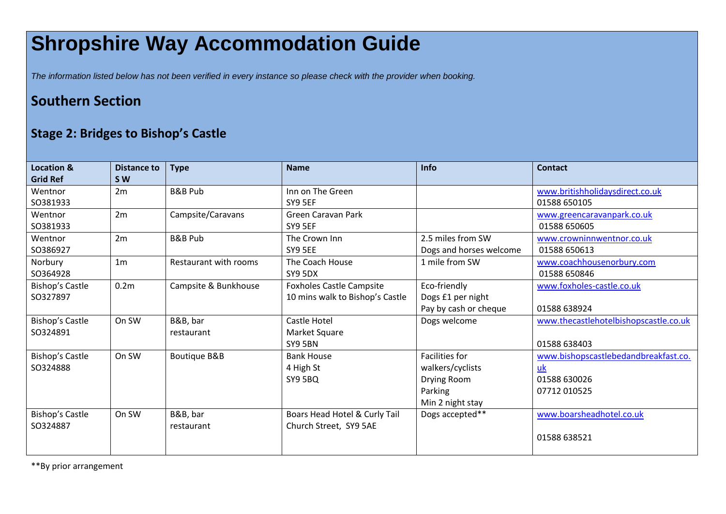## **Shropshire Way Accommodation Guide**

*The information listed below has not been verified in every instance so please check with the provider when booking.*

## **Southern Section**

## **Stage 2: Bridges to Bishop's Castle**

| Location &      | <b>Distance to</b> | <b>Type</b>             | <b>Name</b>                     | Info                    | <b>Contact</b>                        |
|-----------------|--------------------|-------------------------|---------------------------------|-------------------------|---------------------------------------|
| <b>Grid Ref</b> | <b>SW</b>          |                         |                                 |                         |                                       |
| Wentnor         | 2m                 | <b>B&amp;B Pub</b>      | Inn on The Green                |                         | www.britishholidaysdirect.co.uk       |
| SO381933        |                    |                         | SY9 5EF                         |                         | 01588 650105                          |
| Wentnor         | 2m                 | Campsite/Caravans       | <b>Green Caravan Park</b>       |                         | www.greencaravanpark.co.uk            |
| SO381933        |                    |                         | SY9 5EF                         |                         | 01588 650605                          |
| Wentnor         | 2m                 | <b>B&amp;B Pub</b>      | The Crown Inn                   | 2.5 miles from SW       | www.crowninnwentnor.co.uk             |
| SO386927        |                    |                         | SY9 5EE                         | Dogs and horses welcome | 01588 650613                          |
| Norbury         | 1 <sub>m</sub>     | Restaurant with rooms   | The Coach House                 | 1 mile from SW          | www.coachhousenorbury.com             |
| SO364928        |                    |                         | SY9 5DX                         |                         | 01588 650846                          |
| Bishop's Castle | 0.2 <sub>m</sub>   | Campsite & Bunkhouse    | <b>Foxholes Castle Campsite</b> | Eco-friendly            | www.foxholes-castle.co.uk             |
| SO327897        |                    |                         | 10 mins walk to Bishop's Castle | Dogs £1 per night       |                                       |
|                 |                    |                         |                                 | Pay by cash or cheque   | 01588 638924                          |
| Bishop's Castle | On SW              | B&B, bar                | <b>Castle Hotel</b>             | Dogs welcome            | www.thecastlehotelbishopscastle.co.uk |
| SO324891        |                    | restaurant              | Market Square                   |                         |                                       |
|                 |                    |                         | SY9 5BN                         |                         | 01588 638403                          |
| Bishop's Castle | On SW              | <b>Boutique B&amp;B</b> | <b>Bank House</b>               | <b>Facilities for</b>   | www.bishopscastlebedandbreakfast.co.  |
| SO324888        |                    |                         | 4 High St                       | walkers/cyclists        | uk                                    |
|                 |                    |                         | SY9 5BQ                         | Drying Room             | 01588 630026                          |
|                 |                    |                         |                                 | Parking                 | 07712 010525                          |
|                 |                    |                         |                                 | Min 2 night stay        |                                       |
| Bishop's Castle | On SW              | B&B, bar                | Boars Head Hotel & Curly Tail   | Dogs accepted**         | www.boarsheadhotel.co.uk              |
| SO324887        |                    | restaurant              | Church Street, SY9 5AE          |                         |                                       |
|                 |                    |                         |                                 |                         | 01588 638521                          |
|                 |                    |                         |                                 |                         |                                       |

\*\*By prior arrangement